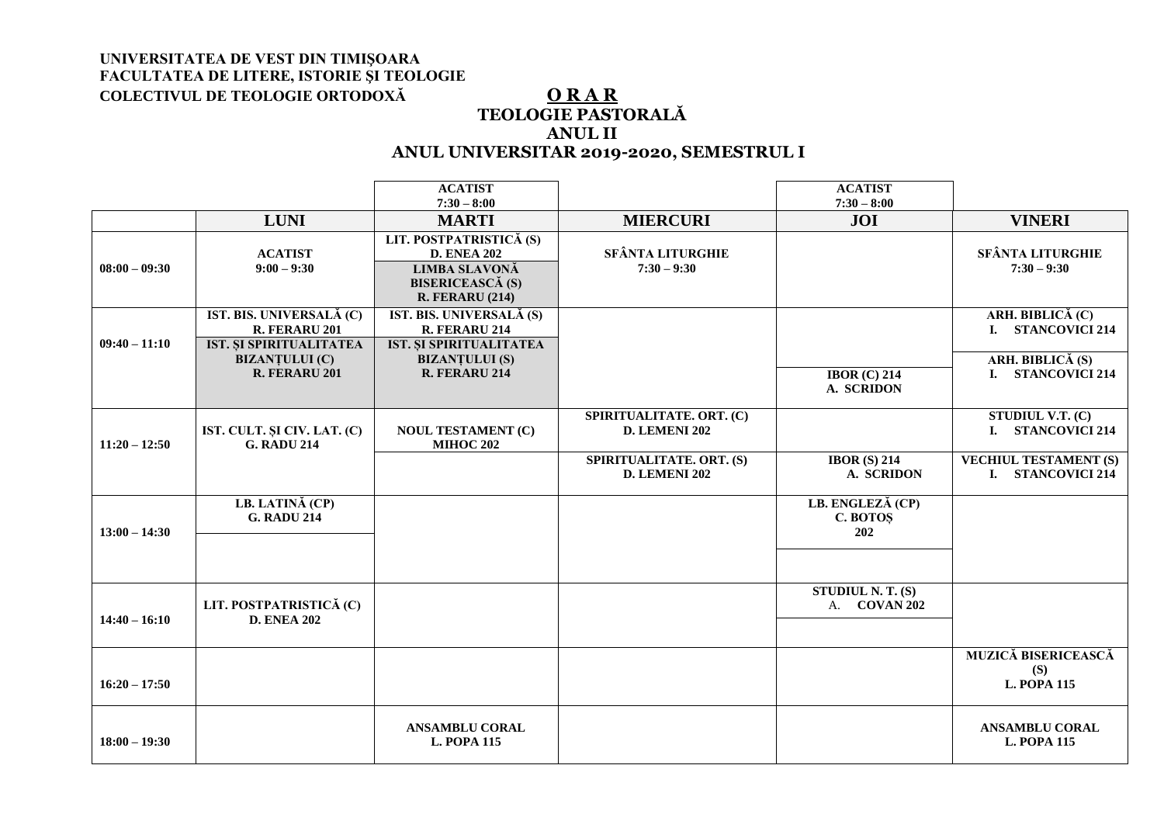## **UNIVERSITATEA DE VEST DIN TIMIŞOARA FACULTATEA DE LITERE, ISTORIE ŞI TEOLOGIE COLECTIVUL DE TEOLOGIE ORTODOXĂ O R A R**

## **TEOLOGIE PASTORALĂ ANUL II ANUL UNIVERSITAR 2019-2020, SEMESTRUL I**

|                 |                                                                                                                       | <b>ACATIST</b><br>$7:30 - 8:00$                                                                                            |                                                  | <b>ACATIST</b><br>$7:30 - 8:00$     |                                                                                  |
|-----------------|-----------------------------------------------------------------------------------------------------------------------|----------------------------------------------------------------------------------------------------------------------------|--------------------------------------------------|-------------------------------------|----------------------------------------------------------------------------------|
|                 | <b>LUNI</b>                                                                                                           | <b>MARTI</b>                                                                                                               | <b>MIERCURI</b>                                  | <b>JOI</b>                          | <b>VINERI</b>                                                                    |
| $08:00 - 09:30$ | <b>ACATIST</b><br>$9:00 - 9:30$                                                                                       | LIT. POSTPATRISTICĂ (S)<br><b>D. ENEA 202</b><br><b>LIMBA SLAVONĂ</b><br><b>BISERICEASCĂ (S)</b><br><b>R. FERARU (214)</b> | <b>SFÂNTA LITURGHIE</b><br>$7:30 - 9:30$         |                                     | <b>SFÂNTA LITURGHIE</b><br>$7:30 - 9:30$                                         |
| $09:40 - 11:10$ | IST. BIS. UNIVERSALĂ (C)<br>R. FERARU 201<br><b>IST. SI SPIRITUALITATEA</b><br><b>BIZANȚULUI</b> (C)<br>R. FERARU 201 | IST. BIS. UNIVERSALĂ (S)<br>R. FERARU 214<br><b>IST. SI SPIRITUALITATEA</b><br><b>BIZANȚULUI</b> (S)<br>R. FERARU 214      |                                                  | <b>IBOR (C) 214</b><br>A. SCRIDON   | ARH. BIBLICĂ (C)<br>I. STANCOVICI 214<br>ARH. BIBLICĂ $(S)$<br>I. STANCOVICI 214 |
| $11:20 - 12:50$ | IST. CULT. ȘI CIV. LAT. (C)<br><b>G. RADU 214</b>                                                                     | <b>NOUL TESTAMENT (C)</b><br><b>MIHOC 202</b>                                                                              | SPIRITUALITATE. ORT. (C)<br>D. LEMENI 202        |                                     | STUDIUL V.T. (C)<br>I. STANCOVICI 214                                            |
|                 |                                                                                                                       |                                                                                                                            | SPIRITUALITATE. ORT. (S)<br><b>D. LEMENI 202</b> | IBOR $(S)$ 214<br>A. SCRIDON        | <b>VECHIUL TESTAMENT (S)</b><br>I. STANCOVICI 214                                |
| $13:00 - 14:30$ | LB. LATINĂ (CP)<br><b>G. RADU 214</b>                                                                                 |                                                                                                                            |                                                  | LB. ENGLEZĂ (CP)<br>C. BOTOS<br>202 |                                                                                  |
| $14:40 - 16:10$ | LIT. POSTPATRISTICĂ (C)<br><b>D. ENEA 202</b>                                                                         |                                                                                                                            |                                                  | STUDIUL N. T. $(S)$<br>A. COVAN 202 |                                                                                  |
| $16:20 - 17:50$ |                                                                                                                       |                                                                                                                            |                                                  |                                     | <b>MUZICĂ BISERICEASCĂ</b><br>(S)<br><b>L. POPA 115</b>                          |
| $18:00 - 19:30$ |                                                                                                                       | <b>ANSAMBLU CORAL</b><br><b>L. POPA 115</b>                                                                                |                                                  |                                     | <b>ANSAMBLU CORAL</b><br><b>L. POPA 115</b>                                      |